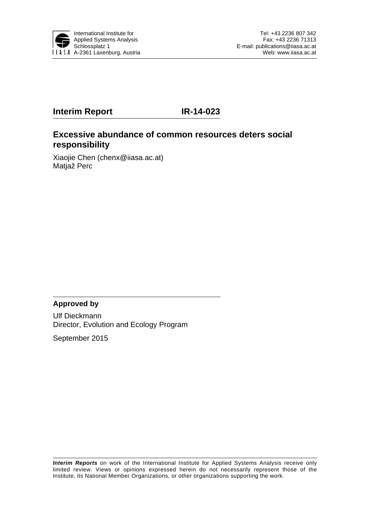

# **Interim Report IR-14-023**

## **Excessive abundance of common resources deters social responsibility**

Xiaojie Chen (chenx@iiasa.ac.at) Matjaž Perc

### **Approved by**

Ulf Dieckmann Director, Evolution and Ecology Program

September 2015

*Interim Reports* on work of the International Institute for Applied Systems Analysis receive only limited review. Views or opinions expressed herein do not necessarily represent those of the Institute, its National Member Organizations, or other organizations supporting the work.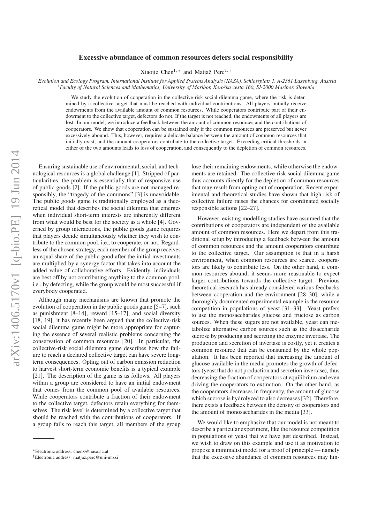### Excessive abundance of common resources deters social responsibility

Xiaojie Chen<sup>1, \*</sup> and Matjaž Perc<sup>2, †</sup>

*1 Evolution and Ecology Program, International Institute for Applied Systems Analysis (IIASA), Schlossplatz 1, A-2361 Laxenburg, Austria <sup>2</sup> Faculty of Natural Sciences and Mathematics, University of Maribor, Koroska cesta 160, SI-2000 Maribor, Slovenia ˇ*

We study the evolution of cooperation in the collective-risk social dilemma game, where the risk is determined by a collective target that must be reached with individual contributions. All players initially receive endowments from the available amount of common resources. While cooperators contribute part of their endowment to the collective target, defectors do not. If the target is not reached, the endowments of all players are lost. In our model, we introduce a feedback between the amount of common resources and the contributions of cooperators. We show that cooperation can be sustained only if the common resources are preserved but never excessively abound. This, however, requires a delicate balance between the amount of common resources that initially exist, and the amount cooperators contribute to the collective target. Exceeding critical thresholds in either of the two amounts leads to loss of cooperation, and consequently to the depletion of common resources.

Ensuring sustainable use of environmental, social, and technological resources is a global challenge [1]. Stripped of particularities, the problem is essentially that of responsive use of public goods [2]. If the public goods are not managed responsibly, the "tragedy of the commons" [3] is unavoidable. The public goods game is traditionally employed as a theoretical model that describes the social dilemma that emerges when individual short-term interests are inherently different from what would be best for the society as a whole [4]. Governed by group interactions, the public goods game requires that players decide simultaneously whether they wish to contribute to the common pool, i.e., to cooperate, or not. Regardless of the chosen strategy, each member of the group receives an equal share of the public good after the initial investments are multiplied by a synergy factor that takes into account the added value of collaborative efforts. Evidently, individuals are best off by not contributing anything to the common pool, i.e., by defecting, while the group would be most successful if everybody cooperated.

Although many mechanisms are known that promote the evolution of cooperation in the public goods game [5–7], such as punishment [8–14], reward [15–17], and social diversity [18, 19], it has recently been argued that the collective-risk social dilemma game might be more appropriate for capturing the essence of several realistic problems concerning the conservation of common resources [20]. In particular, the collective-risk social dilemma game describes how the failure to reach a declared collective target can have severe longterm consequences. Opting out of carbon emission reduction to harvest short-term economic benefits is a typical example [21]. The description of the game is as follows. All players within a group are considered to have an initial endowment that comes from the common pool of available resources. While cooperators contribute a fraction of their endowment to the collective target, defectors retain everything for themselves. The risk level is determined by a collective target that should be reached with the contributions of cooperators. If a group fails to reach this target, all members of the group lose their remaining endowments, while otherwise the endowments are retained. The collective-risk social dilemma game thus accounts directly for the depletion of common resources that may result from opting out of cooperation. Recent experimental and theoretical studies have shown that high risk of collective failure raises the chances for coordinated socially responsible actions [22–27].

However, existing modelling studies have assumed that the contributions of cooperators are independent of the available amount of common resources. Here we depart from this traditional setup by introducing a feedback between the amount of common resources and the amount cooperators contribute to the collective target. Our assumption is that in a harsh environment, when common resources are scarce, cooperators are likely to contribute less. On the other hand, if common resources abound, it seems more reasonable to expect larger contributions towards the collective target. Previous theoretical research has already considered various feedbacks between cooperation and the environment [28–30], while a thoroughly documented experimental example is the resource competition in populations of yeast [31–33]. Yeast prefers to use the monosaccharides glucose and fructose as carbon sources. When these sugars are not available, yeast can metabolize alternative carbon sources such as the disaccharide sucrose by producing and secreting the enzyme invertase. The production and secretion of invertase is costly, yet it creates a common resource that can be consumed by the whole population. It has been reported that increasing the amount of glucose available in the media promotes the growth of defectors (yeast that do not production and secretion invertase), thus decreasing the fraction of cooperators at equilibrium and even driving the cooperators to extinction. On the other hand, as the cooperators decreases in frequency, the amount of glucose which sucrose is hydrolyzed to also decreases [32]. Therefore, there exists a feedback between the density of cooperators and the amount of monosaccharides in the media [33].

We would like to emphasize that our model is not meant to describe a particular experiment, like the resource competition in populations of yeast that we have just described. Instead, we wish to draw on this example and use it as motivation to propose a minimalist model for a proof of principle — namely that the excessive abundance of common resources may hin-

<sup>∗</sup>Electronic address: chenx@iiasa.ac.at

<sup>†</sup>Electronic address: matjaz.perc@uni-mb.si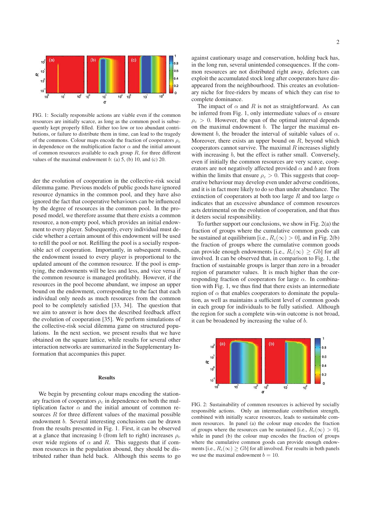

FIG. 1: Socially responsible actions are viable even if the common resources are initially scarce, as long as the common pool is subsequently kept properly filled. Either too low or too abundant contributions, or failure to distribute them in time, can lead to the tragedy of the commons. Colour maps encode the fraction of cooperators  $\rho_c$ in dependence on the multiplication factor  $\alpha$  and the initial amount of common resources available to each group  $R$ , for three different values of the maximal endowment b: (a) 5, (b) 10, and (c) 20.

der the evolution of cooperation in the collective-risk social dilemma game. Previous models of public goods have ignored resource dynamics in the common pool, and they have also ignored the fact that cooperative behaviours can be influenced by the degree of resources in the common pool. In the proposed model, we therefore assume that there exists a common resource, a non-empty pool, which provides an initial endowment to every player. Subsequently, every individual must decide whether a certain amount of this endowment will be used to refill the pool or not. Refilling the pool is a socially responsible act of cooperation. Importantly, in subsequent rounds, the endowment issued to every player is proportional to the updated amount of the common resource. If the pool is emptying, the endowments will be less and less, and vice versa if the common resource is managed profitably. However, if the resources in the pool become abundant, we impose an upper bound on the endowment, corresponding to the fact that each individual only needs as much resources from the common pool to be completely satisfied [33, 34]. The question that we aim to answer is how does the described feedback affect the evolution of cooperation [35]. We perform simulations of the collective-risk social dilemma game on structured populations. In the next section, we present results that we have obtained on the square lattice, while results for several other interaction networks are summarized in the Supplementary Information that accompanies this paper.

#### Results

We begin by presenting colour maps encoding the stationary fraction of cooperators  $\rho_c$  in dependence on both the multiplication factor  $\alpha$  and the initial amount of common resources  $R$  for three different values of the maximal possible endowment b. Several interesting conclusions can be drawn from the results presented in Fig. 1. First, it can be observed at a glance that increasing b (from left to right) increases  $\rho_c$ over wide regions of  $\alpha$  and R. This suggests that if common resources in the population abound, they should be distributed rather than held back. Although this seems to go against cautionary usage and conservation, holding back has, in the long run, several unintended consequences. If the common resources are not distributed right away, defectors can exploit the accumulated stock long after cooperators have disappeared from the neighbourhood. This creates an evolutionary niche for free-riders by means of which they can rise to complete dominance.

The impact of  $\alpha$  and R is not as straightforward. As can be inferred from Fig. 1, only intermediate values of  $\alpha$  ensure  $\rho_c > 0$ . However, the span of the optimal interval depends on the maximal endowment b. The larger the maximal endowment b, the broader the interval of suitable values of  $\alpha$ . Moreover, there exists an upper bound on  $R$ , beyond which cooperators cannot survive. The maximal  $R$  increases slightly with increasing b, but the effect is rather small. Conversely, even if initially the common resources are very scarce, cooperators are not negatively affected provided  $\alpha$  and b are from within the limits that ensure  $\rho_c > 0$ . This suggests that cooperative behaviour may develop even under adverse conditions, and it is in fact more likely to do so than under abundance. The extinction of cooperators at both too large R and too large  $\alpha$ indicates that an excessive abundance of common resources acts detrimental on the evolution of cooperation, and that thus it deters social responsibility.

To further support our conclusions, we show in Fig. 2(a) the fraction of groups where the cumulative common goods can be sustained at equilibrium [i.e.,  $R_i(\infty) > 0$ ], and in Fig. 2(b) the fraction of groups where the cumulative common goods can provide enough endowments [i.e.,  $R_i(\infty) \geq Gb$ ] for all involved. It can be observed that, in comparison to Fig. 1, the fraction of sustainable groups is larger than zero in a broader region of parameter values. It is much higher than the corresponding fraction of cooperators for large  $\alpha$ . In combination with Fig. 1, we thus find that there exists an intermediate region of  $\alpha$  that enables cooperators to dominate the population, as well as maintains a sufficient level of common goods in each group for individuals to be fully satisfied. Although the region for such a complete win-win outcome is not broad, it can be broadened by increasing the value of b.



FIG. 2: Sustainability of common resources is achieved by socially responsible actions. Only an intermediate contribution strength, combined with initially scarce resources, leads to sustainable common resources. In panel (a) the colour map encodes the fraction of groups where the resources can be sustained [i.e.,  $R_i(\infty) > 0$ ], while in panel (b) the colour map encodes the fraction of groups where the cumulative common goods can provide enough endowments [i.e.,  $R_i(\infty) > Gb$ ] for all involved. For results in both panels we use the maximal endowment  $b = 10$ .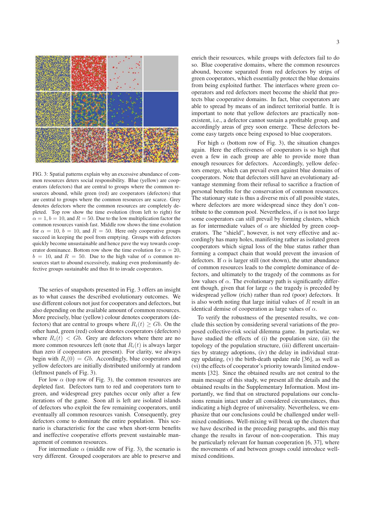

FIG. 3: Spatial patterns explain why an excessive abundance of common resources deters social responsibility. Blue (yellow) are cooperators (defectors) that are central to groups where the common resources abound, while green (red) are cooperators (defectors) that are central to groups where the common resources are scarce. Grey denotes defectors where the common resources are completely depleted. Top row show the time evolution (from left to right) for  $\alpha = 1, b = 10$ , and  $R = 50$ . Due to the low multiplication factor the common resources vanish fast. Middle row shows the time evolution for  $\alpha = 10$ ,  $b = 10$ , and  $R = 50$ . Here only cooperative groups succeed in keeping the pool from emptying. Groups with defectors quickly become unsustainable and hence pave the way towards cooperator dominance. Bottom row show the time evolution for  $\alpha = 20$ ,  $b = 10$ , and  $R = 50$ . Due to the high value of  $\alpha$  common resources start to abound excessively, making even predominantly defective groups sustainable and thus fit to invade cooperators.

The series of snapshots presented in Fig. 3 offers an insight as to what causes the described evolutionary outcomes. We use different colours not just for cooperators and defectors, but also depending on the available amount of common resources. More precisely, blue (yellow) colour denotes cooperators (defectors) that are central to groups where  $R_i(t) > Gb$ . On the other hand, green (red) colour denotes cooperators (defectors) where  $R_i(t) < Gb$ . Grey are defectors where there are no more common resources left (note that  $R_i(t)$  is always larger than zero if cooperators are present). For clarity, we always begin with  $R_i(0) = Gb$ . Accordingly, blue cooperators and yellow defectors are initially distributed uniformly at random (leftmost panels of Fig. 3).

For low  $\alpha$  (top row of Fig. 3), the common resources are depleted fast. Defectors turn to red and cooperators turn to green, and widespread grey patches occur only after a few iterations of the game. Soon all is left are isolated islands of defectors who exploit the few remaining cooperators, until eventually all common resources vanish. Consequently, grey defectors come to dominate the entire population. This scenario is characteristic for the case when short-term benefits and ineffective cooperative efforts prevent sustainable management of common resources.

For intermediate  $\alpha$  (middle row of Fig. 3), the scenario is very different. Grouped cooperators are able to preserve and enrich their resources, while groups with defectors fail to do so. Blue cooperative domains, where the common resources abound, become separated from red defectors by strips of green cooperators, which essentially protect the blue domains from being exploited further. The interfaces where green cooperators and red defectors meet become the shield that protects blue cooperative domains. In fact, blue cooperators are able to spread by means of an indirect territorial battle. It is important to note that yellow defectors are practically nonexistent, i.e., a defector cannot sustain a profitable group, and accordingly areas of grey soon emerge. These defectors become easy targets once being exposed to blue cooperators.

For high  $\alpha$  (bottom row of Fig. 3), the situation changes again. Here the effectiveness of cooperators is so high that even a few in each group are able to provide more than enough resources for defectors. Accordingly, yellow defectors emerge, which can prevail even against blue domains of cooperators. Note that defectors still have an evolutionary advantage stemming from their refusal to sacrifice a fraction of personal benefits for the conservation of common resources. The stationary state is thus a diverse mix of all possible states, where defectors are more widespread since they don't contribute to the common pool. Nevertheless, if  $\alpha$  is not too large some cooperators can still prevail by forming clusters, which as for intermediate values of  $\alpha$  are shielded by green cooperators. The "shield", however, is not very effective and accordingly has many holes, manifesting rather as isolated green cooperators which signal loss of the blue status rather than forming a compact chain that would prevent the invasion of defectors. If  $\alpha$  is larger still (not shown), the utter abundance of common resources leads to the complete dominance of defectors, and ultimately to the tragedy of the commons as for low values of  $\alpha$ . The evolutionary path is significantly different though, given that for large  $\alpha$  the tragedy is preceded by widespread yellow (rich) rather than red (poor) defectors. It is also worth noting that large initial values of  $R$  result in an identical demise of cooperation as large values of  $\alpha$ .

To verify the robustness of the presented results, we conclude this section by considering several variations of the proposed collective-risk social dilemma game. In particular, we have studied the effects of (i) the population size, (ii) the topology of the population structure, (iii) different uncertainties by strategy adoptions, (iv) the delay in individual strategy updating, (v) the birth-death update rule [36], as well as (vi) the effects of cooperator's priority towards limited endowments [32]. Since the obtained results are not central to the main message of this study, we present all the details and the obtained results in the Supplementary Information. Most importantly, we find that on structured populations our conclusions remain intact under all considered circumstances, thus indicating a high degree of universality. Nevertheless, we emphasize that our conclusions could be challenged under wellmixed conditions. Well-mixing will break up the clusters that we have described in the preceding paragraphs, and this may change the results in favour of non-cooperation. This may be particularly relevant for human cooperation [6, 37], where the movements of and between groups could introduce wellmixed conditions.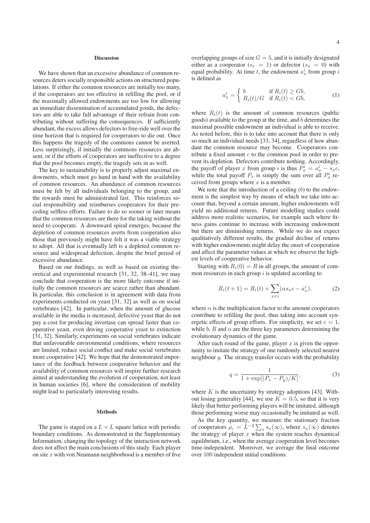#### Discussion

We have shown that an excessive abundance of common resources deters socially responsible actions on structured populations. If either the common resources are initially too many, if the cooperators are too effective in refilling the pool, or if the maximally allowed endowments are too low for allowing an immediate dissemination of accumulated goods, the defectors are able to take full advantage of their refrain from contributing without suffering the consequences. If sufficiently abundant, the excess allows defectors to free-ride well over the time horizon that is required for cooperators to die out. Once this happens the tragedy of the commons cannot be averted. Less surprisingly, if initially the commons resources are absent, or if the efforts of cooperators are ineffective to a degree that the pool becomes empty, the tragedy sets in as well.

The key to sustainability is to properly adjust maximal endowments, which must go hand in hand with the availability of common resources. An abundance of common resources must be felt by all individuals belonging to the group, and the rewards must be administrated fast. This reinforces social responsibility and reimburses cooperators for their preceding selfless efforts. Failure to do so sooner or later means that the common resources are there for the taking without the need to cooperate. A downward spiral emerges, because the depletion of common resources averts from cooperation also those that previously might have felt it was a viable strategy to adopt. All that is eventually left is a depleted common resource and widespread defection, despite the brief period of excessive abundance.

Based on our findings, as well as based on existing theoretical and experimental research [31, 32, 38–41], we may conclude that cooperation is the more likely outcome if initially the common resources are scarce rather than abundant. In particular, this conclusion is in agreement with data from experiments conducted on yeast [31, 32] as well as on social vertebrates [42]. In particular, when the amount of glucose available in the media is increased, defective yeast that do not pay a cost for producing invertase can spread faster than cooperative yeast, even driving cooperative yeast to extinction [31, 32]. Similarly, experiments on social vertebrates indicate that unfavourable environmental conditions, where resources are limited, reduce social conflict and make social vertebrates more cooperative [42]. We hope that the demonstrated importance of the feedback between cooperative behavior and the availability of common resources will inspire further research aimed at understanding the evolution of cooperation, not least in human societies [6], where the consideration of mobility might lead to particularly interesting results.

#### Methods

The game is staged on a  $L \times L$  square lattice with periodic boundary conditions. As demonstrated in the Supplementary Information, changing the topology of the interaction network does not affect the main conclusions of this study. Each player on site  $x$  with von Neumann neighborhood is a member of five overlapping groups of size  $G = 5$ , and it is initially designated either as a cooperator  $(s_x = 1)$  or defector  $(s_x = 0)$  with equal probability. At time t, the endowment  $a_x$  from group i is defined as

$$
a_x^i = \begin{cases} b & \text{if } R_i(t) \ge Gb, \\ R_i(t)/G & \text{if } R_i(t) < Gb, \end{cases}
$$
 (1)

where  $R_i(t)$  is the amount of common resources (public goods) available to the group at the time, and b determines the maximal possible endowment an individual is able to receive. As noted before, this is to take into account that there is only so much an individual needs [33, 34], regardless of how abundant the common resource may become. Cooperators contribute a fixed amount  $c$  to the common pool in order to prevent its depletion. Defectors contribute nothing. Accordingly, the payoff of player x from group i is thus  $P_x^i = a_x^i - s_x^i$ . while the total payoff  $P_x$  is simply the sum over all  $P_x$  received from groups where  $x$  is a member.

We note that the introduction of a ceiling  $(b)$  to the endowment is the simplest way by means of which we take into account that, beyond a certain amount, higher endowments will yield no additional returns. Future modelling studies could address more realistic scenarios, for example such where fitness gains continue to increase with increasing endowment but there are diminishing returns. While we do not expect qualitatively different results, the gradual decline of returns with higher endowments might delay the onset of cooperation and affect the parameter values at which we observe the highest levels of cooperative behavior.

Starting with  $R_i(0) = R$  in all groups, the amount of common resources in each group  $i$  is updated according to

$$
R_i(t+1) = R_i(t) + \sum_{x \in i} (\alpha s_x c - a_x^i),
$$
 (2)

where  $\alpha$  is the multiplication factor to the amount cooperators contribute to refilling the pool, thus taking into account synergetic effects of group efforts. For simplicity, we set  $c = 1$ , while b, R and  $\alpha$  are the three key parameters determining the evolutionary dynamics of the game.

After each round of the game, player  $x$  is given the opportunity to imitate the strategy of one randomly selected nearest neighbour  $y$ . The strategy transfer occurs with the probability

$$
q = \frac{1}{1 + \exp[(P_x - P_y)/K]},
$$
\n(3)

where  $K$  is the uncertainty by strategy adoptions [43]. Without losing generality [44], we use  $K = 0.5$ , so that it is very likely that better performing players will be imitated, although those performing worse may occasionally be imitated as well.

As the key quantity, we measure the stationary fraction of cooperators  $\rho_c = L^{-2} \sum_x s_x(\infty)$ , where  $s_x(\infty)$  denotes the strategy of player  $x$  when the system reaches dynamical equilibrium, i.e., when the average cooperation level becomes time-independent. Moreover, we average the final outcome over 100 independent initial conditions.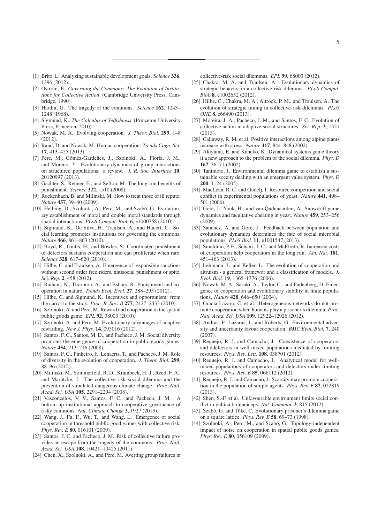- [1] Brito, L. Analyzing sustainable development goals. *Science* 336, 1396 (2012).
- [2] Ostrom, E. *Governing the Commons: The Evolution of Institutions for Collective Action* (Cambridge University Press, Cambridge, 1990).
- [3] Hardin, G. The tragedy of the commons. *Science* 162, 1243– 1248 (1968).
- [4] Sigmund, K. *The Calculus of Selfishness* (Princeton University Press, Princeton, 2010).
- [5] Nowak, M. A. Evolving cooperation. *J. Theor. Biol.* 299, 1–8 (2012).
- [6] Rand, D. and Nowak, M. Human cooperation. *Trends Cogn. Sci.* 17, 413–425 (2013).
- [7] Perc, M., Gómez-Gardeñes, J., Szolnoki, A., Floría, J. M., and Moreno, Y. Evolutionary dynamics of group interactions on structured populations: a review. *J. R. Soc. Interface* 10, 20120997 (2013).
- [8] Gächter, S., Renner, E., and Sefton, M. The long-run benefits of punishment. *Science* 322, 1510 (2008).
- [9] Rockenbach, B. and Milinski, M. How to treat those of ill repute. *Nature* 457, 39–40 (2009).
- [10] Helbing, D., Szolnoki, A., Perc, M., and Szabó, G. Evolutionary establishment of moral and double moral standards through spatial interactions. *PLoS Comput. Biol.* 6, e1000758 (2010).
- [11] Sigmund, K., De Silva, H., Traulsen, A., and Hauert, C. Social learning promotes institutions for governing the commons. *Nature* 466, 861–863 (2010).
- [12] Boyd, R., Gintis, H., and Bowles, S. Coordinated punishment of defectors sustains cooperation and can proliferate when rare. *Science* 328, 617–620 (2010).
- [13] Hilbe, C. and Traulsen, A. Emergence of responsible sanctions without second order free riders, antisocial punishment or spite. *Sci. Rep.* 2, 458 (2012).
- [14] Raihani, N., Thornton, A., and Bshary, R. Punishment and cooperation in nature. *Trends Ecol. Evol.* 27, 288–295 (2012).
- [15] Hilbe, C. and Sigmund, K. Incentives and opportunism: from the carrot to the stick. *Proc. R. Soc. B* 277, 2427–2433 (2010).
- [16] Szolnoki, A. and Perc, M. Reward and cooperation in the spatial public goods game. *EPL* 92, 38003 (2010).
- [17] Szolnoki, A. and Perc, M. Evolutionary advantages of adaptive rewarding. *New J. Phys.* 14, 093016 (2012).
- [18] Santos, F. C., Santos, M. D., and Pacheco, J. M. Social diversity promotes the emergence of cooperation in public goods games. *Nature* 454, 213–216 (2008).
- [19] Santos, F. C., Pinheiro, F., Lenaerts, T., and Pacheco, J. M. Role of diversity in the evolution of cooperation. *J. Theor. Biol.* 299, 88–96 (2012).
- [20] Milinski, M., Sommerfeld, R. D., Krambeck, H.-J., Reed, F. A., and Marotzke, J. The collective-risk social dilemma and the prevention of simulated dangerous climate change. *Proc. Natl. Acad. Sci. USA* 105, 2291–2294 (2008).
- [21] Vasconcelos, V. V., Santos, F. C., and Pacheco, J. M. A bottom-up institutional approach to cooperative governance of risky commons. *Nat. Climate Change* 3, 1927 (2013).
- [22] Wang, J., Fu, F., Wu, T., and Wang, L. Emergence of social cooperation in threshold public good games with collective risk. *Phys. Rev. E* 80, 016101 (2009).
- [23] Santos, F. C. and Pacheco, J. M. Risk of collective failure provides an escape from the tragedy of the commons. *Proc. Natl. Acad. Sci. USA* 108, 10421–10425 (2011).
- [24] Chen, X., Szolnoki, A., and Perc, M. Averting group failures in

collective-risk social dilemmas. *EPL* 99, 68003 (2012).

- [25] Chakra, M. A. and Traulsen, A. Evolutionary dynamics of strategic behavior in a collective-risk dilemma. *PLoS Comput. Biol.* 8, e1002652 (2012).
- [26] Hilbe, C., Chakra, M. A., Altrock, P. M., and Traulsen, A. The evolution of strategic timing in collective-risk dilemmas. *PLoS ONE* 8, e66490 (2013).
- [27] Moreira, J. A., Pacheco, J. M., and Santos, F. C. Evolution of collective action in adaptive social structures. *Sci. Rep.* 3, 1521 (2013).
- [28] Callaway, R. M. et al. Positive interactions among alpine plants increase with stress. *Nature* 417, 844–848 (2002).
- [29] Akiyama, E. and Kaneko, K. Dynamical systems game theory ii a new approach to the problem of the social dilemma. *Phys. D* 167, 36–71 (2002).
- [30] Tanimoto, J. Environmental dilemma game to establish a sustainable soceity dealing with an emergent value system. *Phys. D* 200, 1–24 (2005).
- [31] MacLean, R. C. and Gudelj, I. Resource competition and social conflict in experimental populations of yeast. *Nature* 441, 498– 501 (2006).
- [32] Gore, J., Youk, H., and van Qudenaarden, A. Snowdrift game dynamics and facultative cheating in yeast. *Nature* 459, 253–256 (2009).
- [33] Sanchez, A. and Gore, J. Feedback between population and evolutionary dynamics determines the fate of social microbial populations. *PLoS Biol.* 11, e1001547 (2013).
- [34] Smaldino, P. E., Schank, J. C., and McElreth, R. Increased costs of cooperation help cooperators in the long run. *Am. Nat.* 181, 451–463 (2013).
- [35] Lehmann, L. and Keller, L. The evolution of cooperation and altruism - a general framewor and a classification of models. *J. Evol. Biol.* 19, 1365–1376 (2006).
- [36] Nowak, M. A., Sasaki, A., Taylor, C., and Fudenberg, D. Emergence of cooperation and evolutionary stability in finite populations. *Nature* 428, 646–650 (2004).
- [37] Gracia-Lázaro, C. et al. Heterogeneous networks do not promote cooperation when humans play a prisoner's dilemma. *Proc. Natl. Acad. Sci. USA* 109, 12922–12926 (2012).
- [38] Andras, P., Lazarus, J., and Roberts, G. Environmental adversity and uncertainty favour cooperation. *BMC Evol. Biol.* 7, 240 (2007).
- [39] Requejo, R. J. and Camacho, J. Coexistence of cooperators and ddefectors in well mixed populations mediated by limiting resources. *Phys. Rev. Lett.* 108, 038701 (2012).
- [40] Requejo, R. J. and Camacho, J. Analytical model for wellmixed populations of cooperators and defectors under limiting resources. *Phys. Rev. E* 85, 066112 (2012).
- [41] Requejo, R. J. and Camacho, J. Scarcity may promote cooperation in the population of smiple agents. *Phys. Rev. E* 87, 022819 (2013).
- [42] Shen, S.-F. et al. Unfavourable environment limits social conflict in yuhina brunneiceps. *Nat. Commun.* 3, 815 (2012).
- [43] Szabó, G. and Tőke, C. Evolutionary prisoner's dilemma game on a square lattice. *Phys. Rev. E* 58, 69–73 (1998).
- [44] Szolnoki, A., Perc, M., and Szabó, G. Topology-independent impact of noise on cooperation in spatial public goods games. *Phys. Rev. E* 80, 056109 (2009).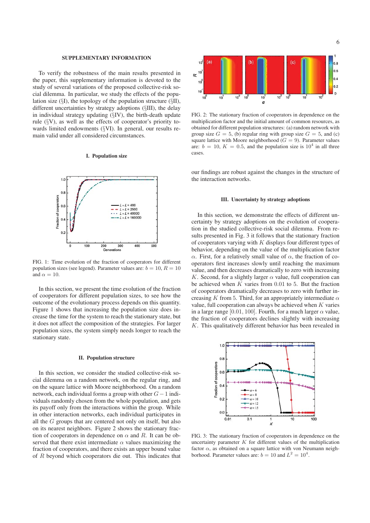#### SUPPLEMENTARY INFORMATION

To verify the robustness of the main results presented in the paper, this supplementary information is devoted to the study of several variations of the proposed collective-risk social dilemma. In particular, we study the effects of the population size  $(\S)$ , the topology of the population structure  $(\S)$ . different uncertainties by strategy adoptions (§III), the delay in individual strategy updating (§IV), the birth-death update rule (§V), as well as the effects of cooperator's priority towards limited endowments (§VI). In general, our results remain valid under all considered circumstances.

#### I. Population size



FIG. 1: Time evolution of the fraction of cooperators for different population sizes (see legend). Parameter values are:  $b = 10$ ,  $R = 10$ and  $\alpha = 10$ .

In this section, we present the time evolution of the fraction of cooperators for different population sizes, to see how the outcome of the evolutionary process depends on this quantity. Figure 1 shows that increasing the population size does increase the time for the system to reach the stationary state, but it does not affect the composition of the strategies. For larger population sizes, the system simply needs longer to reach the stationary state.

#### II. Population structure

In this section, we consider the studied collective-risk social dilemma on a random network, on the regular ring, and on the square lattice with Moore neighborhood. On a random network, each individual forms a group with other <sup>G</sup>−<sup>1</sup> individuals randomly chosen from the whole population, and gets its payoff only from the interactions within the group. While in other interaction networks, each individual participates in all the G groups that are centered not only on itself, but also on its nearest neighbors. Figure 2 shows the stationary fraction of cooperators in dependence on  $\alpha$  and R. It can be observed that there exist intermediate  $\alpha$  values maximizing the fraction of cooperators, and there exists an upper bound value of R beyond which cooperators die out. This indicates that



FIG. 2: The stationary fraction of cooperators in dependence on the multiplication factor and the initial amount of common resources, as obtained for different population structures: (a) random network with group size  $G = 5$ , (b) regular ring with group size  $G = 5$ , and (c) square lattice with Moore neighborhood ( $G = 9$ ). Parameter values are:  $b = 10$ ,  $K = 0.5$ , and the population size is  $10<sup>4</sup>$  in all three cases.

our findings are robust against the changes in the structure of the interaction networks.

#### III. Uncertainty by strategy adoptions

In this section, we demonstrate the effects of different uncertainty by strategy adoptions on the evolution of cooperation in the studied collective-risk social dilemma. From results presented in Fig. 3 it follows that the stationary fraction of cooperators varying with  $K$  displays four different types of behavior, depending on the value of the multiplication factor α. First, for a relatively small value of α, the fraction of cooperators first increases slowly until reaching the maximum value, and then decreases dramatically to zero with increasing K. Second, for a slightly larger  $\alpha$  value, full cooperation can be achieved when  $K$  varies from 0.01 to 5. But the fraction of cooperators dramatically decreases to zero with further increasing K from 5. Third, for an appropriately intermediate  $\alpha$ value, full cooperation can always be achieved when  $K$  varies in a large range [0.01, 100]. Fourth, for a much larger  $\alpha$  value, the fraction of cooperators declines slightly with increasing  $K$ . This qualitatively different behavior has been revealed in



FIG. 3: The stationary fraction of cooperators in dependence on the uncertainty parameter  $K$  for different values of the multiplication factor  $\alpha$ , as obtained on a square lattice with von Neumann neighborhood. Parameter values are:  $b = 10$  and  $L^2 = 10^4$ .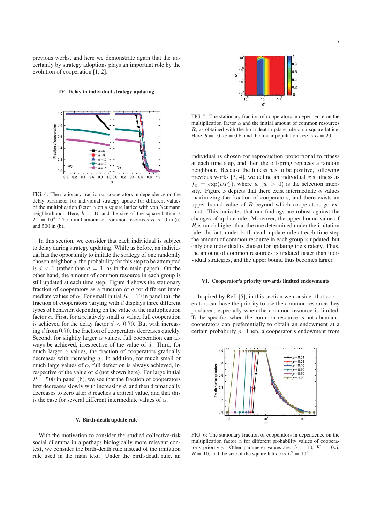previous works, and here we demonstrate again that the uncertainly by strategy adoptions plays an important role by the evolution of cooperation [1, 2].

#### IV. Delay in individual strategy updating



FIG. 4: The stationary fraction of cooperators in dependence on the delay parameter for individual strategy update for different values of the multiplication factor  $\alpha$  on a square lattice with von Neumann neighborhood. Here,  $b = 10$  and the size of the square lattice is  $L^2 = 10^4$ . The initial amount of common resources R is 10 in (a) and 500 in (b).

In this section, we consider that each individual is subject to delay during strategy updating. While as before, an individual has the opportunity to imitate the strategy of one randomly chosen neighbor  $y$ , the probability for this step to be attempted is  $d < 1$  (rather than  $d = 1$ , as in the main paper). On the other hand, the amount of common resource in each group is still updated at each time step. Figure 4 shows the stationary fraction of cooperators as a function of  $d$  for different intermediate values of  $\alpha$ . For small initial  $R = 10$  in panel (a), the fraction of cooperators varying with  $d$  displays three different types of behavior, depending on the value of the multiplication factor  $\alpha$ . First, for a relatively small  $\alpha$  value, full cooperation is achieved for the delay factor  $d < 0.70$ . But with increasing d from 0.70, the fraction of cooperators decreases quickly. Second, for slightly larger  $\alpha$  values, full cooperation can always be achieved, irrespective of the value of d. Third, for much larger  $\alpha$  values, the fraction of cooperators gradually decreases with increasing d. In addition, for much small or much large values of  $\alpha$ , full defection is always achieved, irrespective of the value of  $d$  (not shown here). For large initial  $R = 500$  in panel (b), we see that the fraction of cooperators first decreases slowly with increasing  $d$ , and then dramatically decreases to zero after d reaches a critical value, and that this is the case for several different intermediate values of  $\alpha$ .

#### V. Birth-death update rule

With the motivation to consider the studied collective-risk social dilemma in a perhaps biologically more relevant context, we consider the birth-death rule instead of the imitation rule used in the main text. Under the birth-death rule, an



FIG. 5: The stationary fraction of cooperators in dependence on the multiplication factor  $\alpha$  and the initial amount of common resources R, as obtained with the birth-death update rule on a square lattice. Here,  $b = 10$ ,  $w = 0.5$ , and the linear population size is  $L = 20$ .

individual is chosen for reproduction proportional to fitness at each time step, and then the offspring replaces a random neighbour. Because the fitness has to be positive, following previous works  $[3, 4]$ , we define an individual x's fitness as  $f_x = \exp(wP_x)$ , where  $w(w > 0)$  is the selection intensity. Figure 5 depicts that there exist intermediate  $\alpha$  values maximizing the fraction of cooperators, and there exists an upper bound value of  $R$  beyond which cooperators go extinct. This indicates that our findings are robust against the changes of update rule. Moreover, the upper bound value of  $R$  is much higher than the one determined under the imitation rule. In fact, under birth-death update rule at each time step the amount of common resource in each group is updated, but only one individual is chosen for updating the strategy. Thus, the amount of common resources is updated faster than individual strategies, and the upper bound thus becomes larger.

#### VI. Cooperator's priority towards limited endowments

Inspired by Ref. [5], in this section we consider that cooperators can have the priority to use the common resource they produced, especially when the common resource is limited. To be specific, when the common resource is not abundant, cooperators can preferentially to obtain an endowment at a certain probability p. Then, a cooperator's endowment from



FIG. 6: The stationary fraction of cooperators in dependence on the multiplication factor  $\alpha$  for different probability values of cooperator's priority p. Other parameter values are:  $b = 10, K = 0.5$ ,  $R = 10$ , and the size of the square lattice is  $L^2 = 10^4$ .